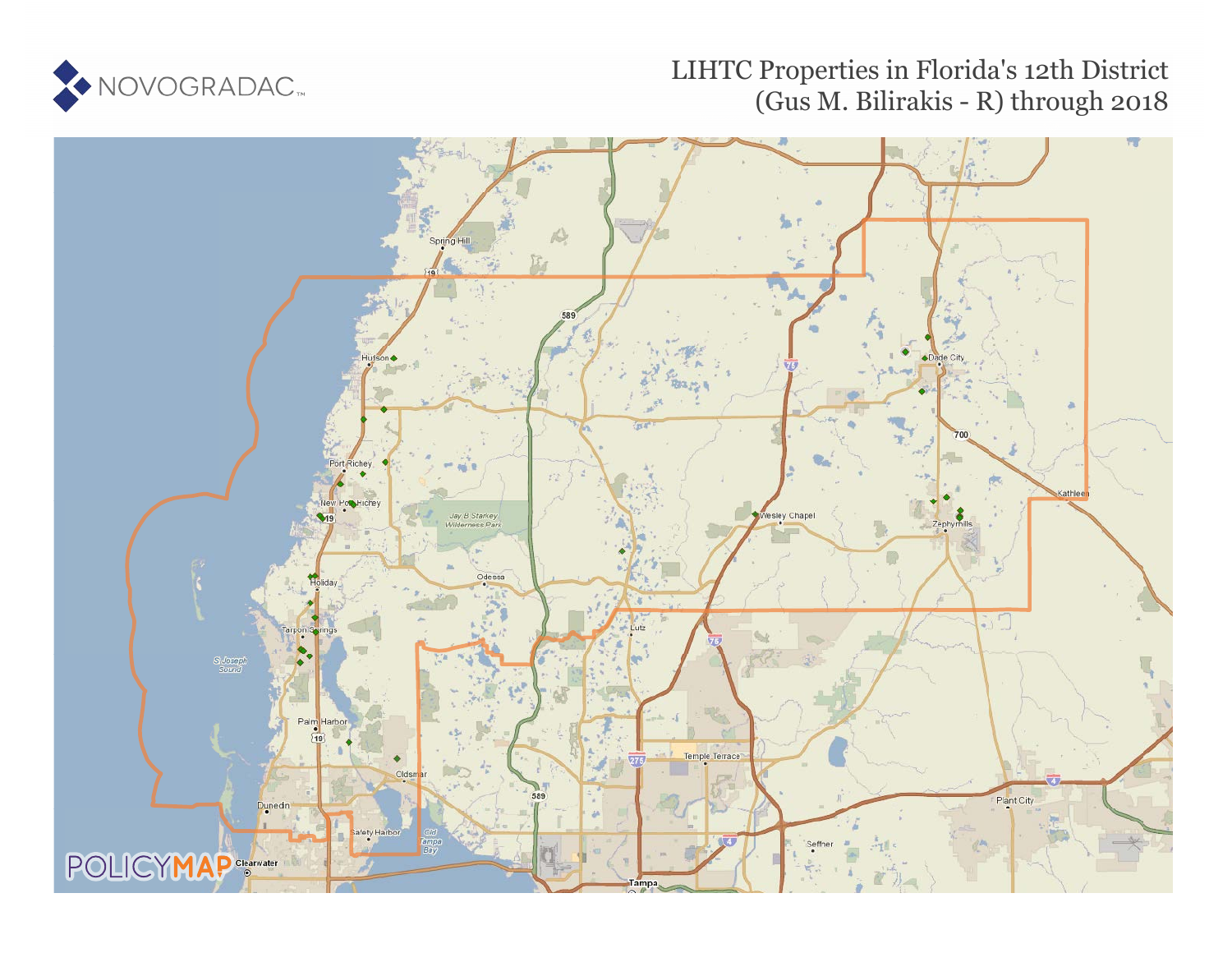

## LIHTC Properties in Florida's 12th District (Gus M. Bilirakis - R) through 2018

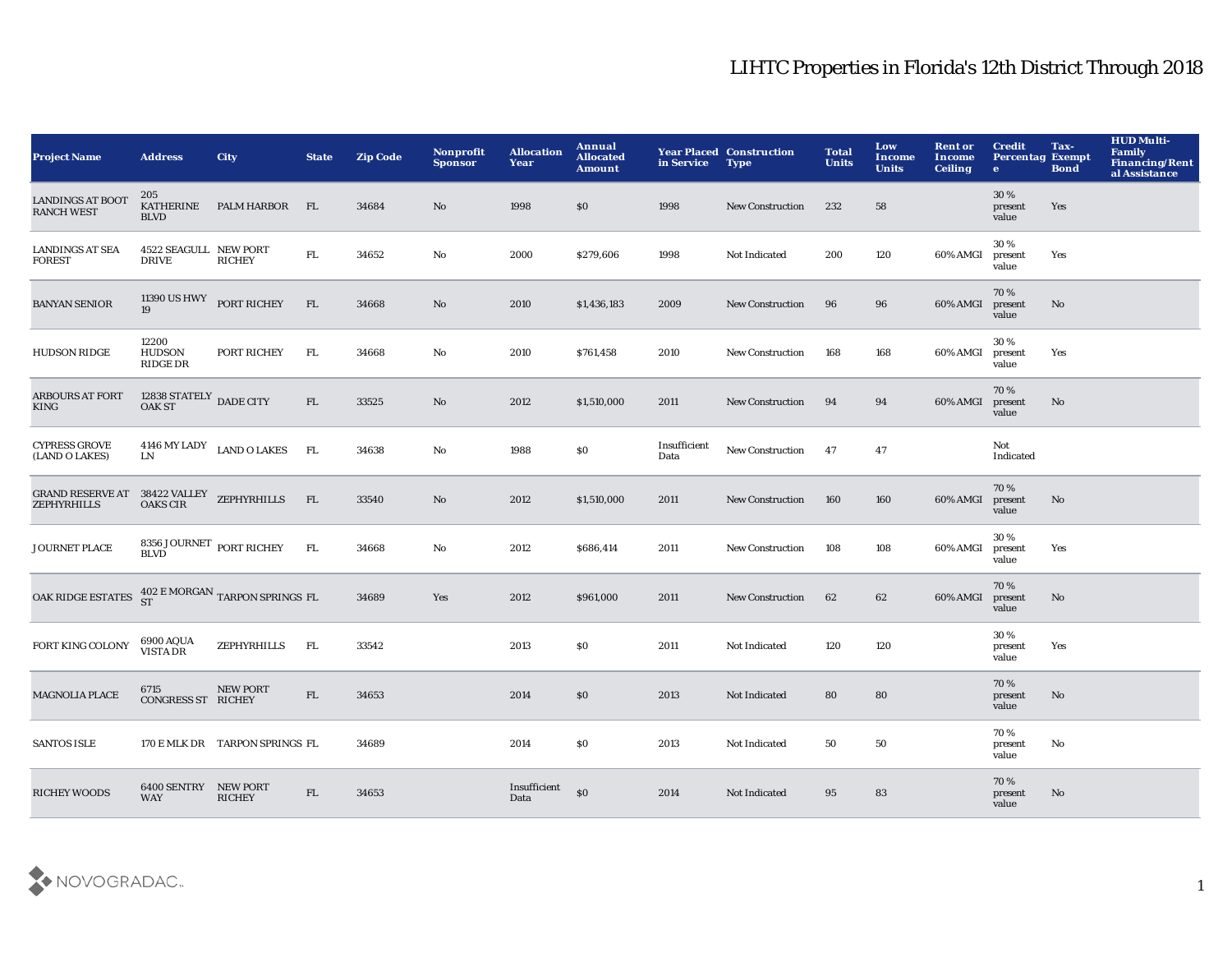## LIHTC Properties in Florida's 12th District Through 2018

| <b>Project Name</b>                                             | <b>Address</b>                         | <b>City</b>                          | <b>State</b> | <b>Zip Code</b> | Nonprofit<br><b>Sponsor</b> | <b>Allocation</b><br>Year | Annual<br><b>Allocated</b><br>Amount | in Service           | <b>Year Placed Construction</b><br><b>Type</b> | <b>Total</b><br><b>Units</b> | Low<br><b>Income</b><br><b>Units</b> | <b>Rent or</b><br>Income<br><b>Ceiling</b> | <b>Credit</b><br><b>Percentag Exempt</b><br>$\bullet$ | Tax-<br><b>Bond</b> | <b>HUD Multi-</b><br><b>Family</b><br><b>Financing/Rent</b><br>al Assistance |
|-----------------------------------------------------------------|----------------------------------------|--------------------------------------|--------------|-----------------|-----------------------------|---------------------------|--------------------------------------|----------------------|------------------------------------------------|------------------------------|--------------------------------------|--------------------------------------------|-------------------------------------------------------|---------------------|------------------------------------------------------------------------------|
| <b>LANDINGS AT BOOT</b><br><b>RANCH WEST</b>                    | 205<br><b>KATHERINE</b><br><b>BLVD</b> | <b>PALM HARBOR</b>                   | FL           | 34684           | No                          | 1998                      | \$0                                  | 1998                 | <b>New Construction</b>                        | 232                          | 58                                   |                                            | 30%<br>present<br>value                               | Yes                 |                                                                              |
| <b>LANDINGS AT SEA</b><br><b>FOREST</b>                         | 4522 SEAGULL NEW PORT<br><b>DRIVE</b>  | <b>RICHEY</b>                        | ${\rm FL}$   | 34652           | No                          | 2000                      | \$279,606                            | 1998                 | Not Indicated                                  | 200                          | 120                                  | 60% AMGI                                   | 30%<br>present<br>value                               | Yes                 |                                                                              |
| <b>BANYAN SENIOR</b>                                            | 11390 US HWY PORT RICHEY<br>19         |                                      | FL           | 34668           | No                          | 2010                      | \$1,436,183                          | 2009                 | <b>New Construction</b>                        | 96                           | 96                                   | 60% AMGI                                   | 70%<br>present<br>value                               | No                  |                                                                              |
| <b>HUDSON RIDGE</b>                                             | 12200<br><b>HUDSON</b><br>RIDGE DR     | PORT RICHEY                          | FL.          | 34668           | No                          | 2010                      | \$761,458                            | 2010                 | <b>New Construction</b>                        | 168                          | 168                                  | 60% AMGI                                   | 30%<br>present<br>value                               | Yes                 |                                                                              |
| <b>ARBOURS AT FORT</b><br><b>KING</b>                           | $12838$ STATELY $\,$ DADE CITY OAK ST  |                                      | FL           | 33525           | No                          | 2012                      | \$1,510,000                          | 2011                 | <b>New Construction</b>                        | 94                           | 94                                   | 60% AMGI                                   | 70%<br>present<br>value                               | No                  |                                                                              |
| <b>CYPRESS GROVE</b><br>(LAND O LAKES)                          | LN                                     | $4146$ MY LADY $\hfill$ LAND O LAKES | <b>FL</b>    | 34638           | No                          | 1988                      | \$0                                  | Insufficient<br>Data | New Construction                               | 47                           | 47                                   |                                            | Not<br>Indicated                                      |                     |                                                                              |
| GRAND RESERVE AT 38422 VALLEY ZEPHYRHILLS<br><b>ZEPHYRHILLS</b> | <b>OAKS CIR</b>                        |                                      | FL           | 33540           | No                          | 2012                      | \$1,510,000                          | 2011                 | <b>New Construction</b>                        | 160                          | 160                                  | 60% AMGI                                   | 70%<br>present<br>value                               | No                  |                                                                              |
| <b>JOURNET PLACE</b>                                            | 8356 JOURNET PORT RICHEY BLVD          |                                      | FL           | 34668           | No                          | 2012                      | \$686,414                            | 2011                 | <b>New Construction</b>                        | 108                          | 108                                  | 60% AMGI                                   | 30%<br>present<br>value                               | Yes                 |                                                                              |
| OAK RIDGE ESTATES                                               |                                        | 402 E MORGAN TARPON SPRINGS FL<br>ST |              | 34689           | Yes                         | 2012                      | \$961,000                            | 2011                 | <b>New Construction</b>                        | 62                           | 62                                   | 60% AMGI                                   | 70%<br>present<br>value                               | No                  |                                                                              |
| FORT KING COLONY                                                | 6900 AQUA<br><b>VISTA DR</b>           | <b>ZEPHYRHILLS</b>                   | FL.          | 33542           |                             | 2013                      | \$0                                  | 2011                 | Not Indicated                                  | 120                          | 120                                  |                                            | 30%<br>present<br>value                               | Yes                 |                                                                              |
| MAGNOLIA PLACE                                                  | 6715<br><b>CONGRESS ST RICHEY</b>      | <b>NEW PORT</b>                      | ${\rm FL}$   | 34653           |                             | 2014                      | \$0                                  | 2013                 | Not Indicated                                  | 80                           | 80                                   |                                            | 70%<br>present<br>value                               | No                  |                                                                              |
| <b>SANTOS ISLE</b>                                              |                                        | 170 E MLK DR TARPON SPRINGS FL       |              | 34689           |                             | 2014                      | S <sub>0</sub>                       | 2013                 | Not Indicated                                  | 50                           | 50                                   |                                            | 70%<br>present<br>value                               | No                  |                                                                              |
| <b>RICHEY WOODS</b>                                             | 6400 SENTRY NEW PORT<br><b>WAY</b>     | <b>RICHEY</b>                        | ${\rm FL}$   | 34653           |                             | Insufficient<br>Data      | \$0                                  | 2014                 | Not Indicated                                  | 95                           | 83                                   |                                            | 70%<br>present<br>value                               | No                  |                                                                              |

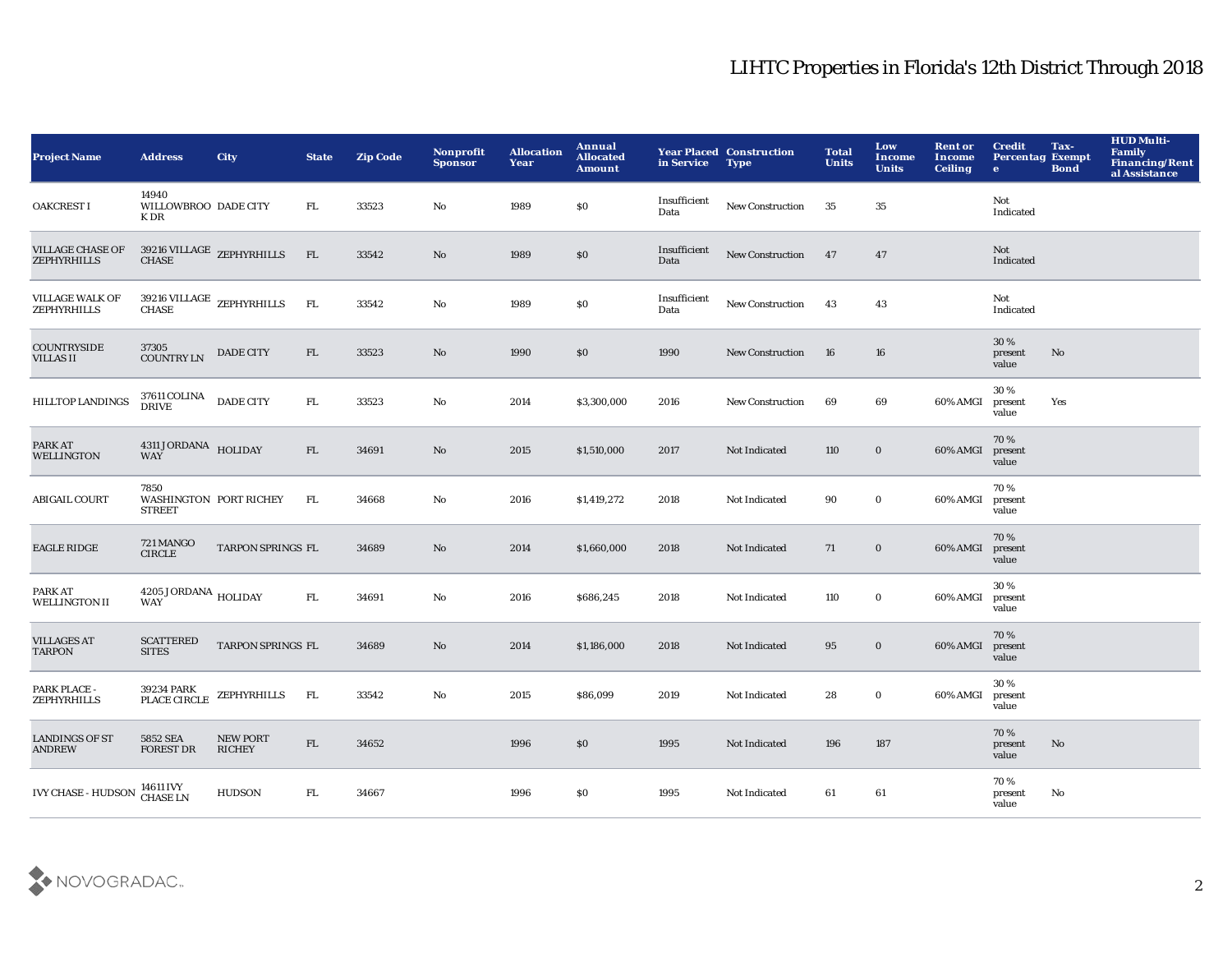## LIHTC Properties in Florida's 12th District Through 2018

| <b>Project Name</b>                           | <b>Address</b>                                         | <b>City</b>                         | <b>State</b> | <b>Zip Code</b> | <b>Nonprofit</b><br><b>Sponsor</b> | <b>Allocation</b><br>Year | Annual<br><b>Allocated</b><br><b>Amount</b> | in Service           | <b>Year Placed Construction</b><br><b>Type</b> | <b>Total</b><br><b>Units</b> | Low<br>Income<br><b>Units</b> | <b>Rent or</b><br>Income<br>Ceiling | <b>Credit</b><br><b>Percentag Exempt</b><br>$\bullet$ | Tax-<br><b>Bond</b> | <b>HUD Multi-</b><br><b>Family</b><br><b>Financing/Rent</b><br>al Assistance |
|-----------------------------------------------|--------------------------------------------------------|-------------------------------------|--------------|-----------------|------------------------------------|---------------------------|---------------------------------------------|----------------------|------------------------------------------------|------------------------------|-------------------------------|-------------------------------------|-------------------------------------------------------|---------------------|------------------------------------------------------------------------------|
| <b>OAKCREST I</b>                             | 14940<br>WILLOWBROO DADE CITY<br>K DR                  |                                     | FL.          | 33523           | No                                 | 1989                      | $\$0$                                       | Insufficient<br>Data | <b>New Construction</b>                        | 35                           | 35                            |                                     | Not<br>Indicated                                      |                     |                                                                              |
| <b>VILLAGE CHASE OF</b><br><b>ZEPHYRHILLS</b> |                                                        | $39216$ VILLAGE $$\sf ZEPHYRHILLS$$ | FL           | 33542           | No                                 | 1989                      | \$0                                         | Insufficient<br>Data | <b>New Construction</b>                        | 47                           | 47                            |                                     | Not<br>Indicated                                      |                     |                                                                              |
| <b>VILLAGE WALK OF</b><br><b>ZEPHYRHILLS</b>  |                                                        | $39216$ VILLAGE $$\sf ZEPHYRHILLS$$ | FL           | 33542           | $\rm No$                           | 1989                      | \$0                                         | Insufficient<br>Data | New Construction                               | 43                           | 43                            |                                     | Not<br>Indicated                                      |                     |                                                                              |
| <b>COUNTRYSIDE</b><br><b>VILLAS II</b>        | 37305<br><b>COUNTRY LN</b>                             | <b>DADE CITY</b>                    | FL           | 33523           | No                                 | 1990                      | \$0                                         | 1990                 | New Construction                               | 16                           | 16                            |                                     | 30%<br>present<br>value                               | No                  |                                                                              |
| <b>HILLTOP LANDINGS</b>                       | 37611 COLINA DADE CITY<br><b>DRIVE</b>                 |                                     | FL.          | 33523           | No                                 | 2014                      | \$3,300,000                                 | 2016                 | <b>New Construction</b>                        | 69                           | 69                            | 60% AMGI                            | 30%<br>present<br>value                               | Yes                 |                                                                              |
| PARK AT<br>WELLINGTON                         | 4311 JORDANA HOLIDAY<br><b>WAY</b>                     |                                     | FL           | 34691           | No                                 | 2015                      | \$1,510,000                                 | 2017                 | Not Indicated                                  | 110                          | $\bf{0}$                      | 60% AMGI                            | 70 %<br>present<br>value                              |                     |                                                                              |
| <b>ABIGAIL COURT</b>                          | 7850<br><b>WASHINGTON PORT RICHEY</b><br><b>STREET</b> |                                     | FL           | 34668           | No                                 | 2016                      | \$1,419,272                                 | 2018                 | Not Indicated                                  | 90                           | $\mathbf 0$                   | 60% AMGI                            | 70%<br>present<br>value                               |                     |                                                                              |
| <b>EAGLE RIDGE</b>                            | 721 MANGO<br>${\sf CIRCLE}$                            | TARPON SPRINGS FL                   |              | 34689           | No                                 | 2014                      | \$1,660,000                                 | 2018                 | Not Indicated                                  | 71                           | $\bf{0}$                      | 60% AMGI                            | 70%<br>present<br>value                               |                     |                                                                              |
| PARK AT<br><b>WELLINGTON II</b>               | $4205$ JORDANA $_{\rm HOLIDAY}$<br><b>WAY</b>          |                                     | FL           | 34691           | No                                 | 2016                      | \$686,245                                   | 2018                 | Not Indicated                                  | 110                          | $\mathbf 0$                   | 60% AMGI                            | 30%<br>present<br>value                               |                     |                                                                              |
| <b>VILLAGES AT</b><br><b>TARPON</b>           | <b>SCATTERED</b><br><b>SITES</b>                       | TARPON SPRINGS FL                   |              | 34689           | $\rm No$                           | 2014                      | \$1,186,000                                 | 2018                 | Not Indicated                                  | 95                           | $\mathbf 0$                   | 60% AMGI                            | 70%<br>present<br>value                               |                     |                                                                              |
| PARK PLACE -<br><b>ZEPHYRHILLS</b>            | 39234 PARK<br>PLACE CIRCLE                             | ZEPHYRHILLS                         | FL           | 33542           | No                                 | 2015                      | \$86,099                                    | 2019                 | Not Indicated                                  | 28                           | $\bf{0}$                      | 60% AMGI                            | 30%<br>present<br>value                               |                     |                                                                              |
| <b>LANDINGS OF ST</b><br><b>ANDREW</b>        | 5852 SEA<br><b>FOREST DR</b>                           | <b>NEW PORT</b><br><b>RICHEY</b>    | FL           | 34652           |                                    | 1996                      | \$0                                         | 1995                 | Not Indicated                                  | 196                          | 187                           |                                     | 70%<br>present<br>value                               | No                  |                                                                              |
| <b>IVY CHASE - HUDSON</b>                     | 14611 IVY<br><b>CHASE LN</b>                           | <b>HUDSON</b>                       | FL.          | 34667           |                                    | 1996                      | <b>SO</b>                                   | 1995                 | Not Indicated                                  | 61                           | 61                            |                                     | 70%<br>present<br>value                               | No                  |                                                                              |